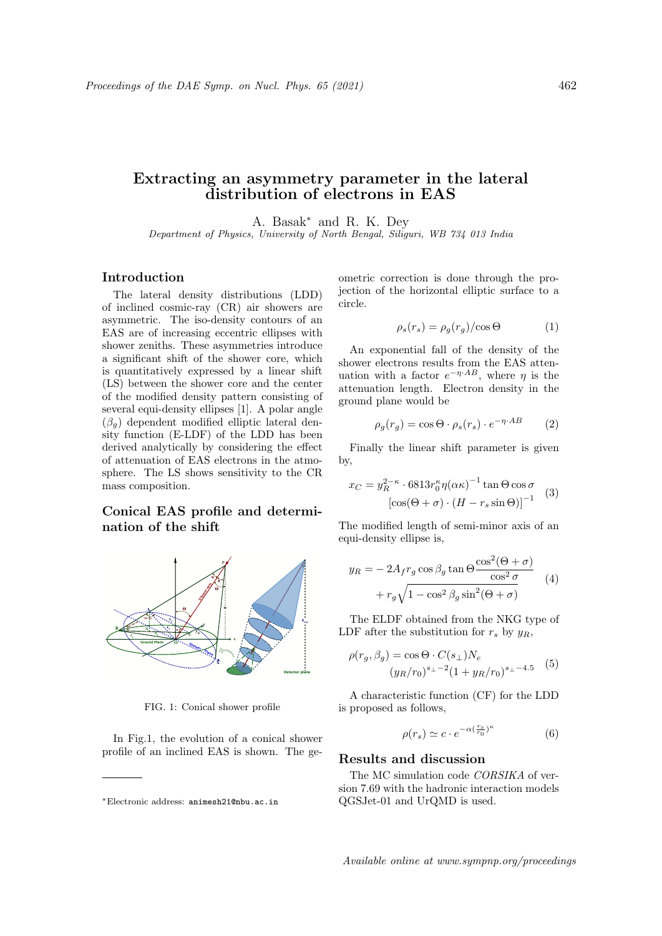# Extracting an asymmetry parameter in the lateral distribution of electrons in EAS

A. Basak<sup>∗</sup> and R. K. Dey

Department of Physics, University of North Bengal, Siliguri, WB 734 013 India

## Introduction

The lateral density distributions (LDD) of inclined cosmic-ray (CR) air showers are asymmetric. The iso-density contours of an EAS are of increasing eccentric ellipses with shower zeniths. These asymmetries introduce a significant shift of the shower core, which is quantitatively expressed by a linear shift (LS) between the shower core and the center of the modified density pattern consisting of several equi-density ellipses [1]. A polar angle  $(\beta_q)$  dependent modified elliptic lateral density function (E-LDF) of the LDD has been derived analytically by considering the effect of attenuation of EAS electrons in the atmosphere. The LS shows sensitivity to the CR mass composition.

# Conical EAS profile and determination of the shift



FIG. 1: Conical shower profile

In Fig.1, the evolution of a conical shower profile of an inclined EAS is shown. The geometric correction is done through the projection of the horizontal elliptic surface to a circle.

$$
\rho_s(r_s) = \rho_g(r_g)/\cos\Theta \tag{1}
$$

An exponential fall of the density of the shower electrons results from the EAS attenuation with a factor  $e^{-\eta \cdot AB}$ , where  $\eta$  is the attenuation length. Electron density in the ground plane would be

$$
\rho_g(r_g) = \cos \Theta \cdot \rho_s(r_s) \cdot e^{-\eta \cdot AB} \tag{2}
$$

Finally the linear shift parameter is given by,

$$
x_C = y_R^{2-\kappa} \cdot 6813 r_0^{\kappa} \eta(\alpha \kappa)^{-1} \tan \Theta \cos \sigma
$$
  

$$
[\cos(\Theta + \sigma) \cdot (H - r_s \sin \Theta)]^{-1}
$$
 (3)

The modified length of semi-minor axis of an equi-density ellipse is,

$$
y_R = -2A_f r_g \cos \beta_g \tan \Theta \frac{\cos^2(\Theta + \sigma)}{\cos^2 \sigma} + r_g \sqrt{1 - \cos^2 \beta_g \sin^2(\Theta + \sigma)} \tag{4}
$$

The ELDF obtained from the NKG type of LDF after the substitution for  $r_s$  by  $y_R$ ,

$$
\rho(r_g, \beta_g) = \cos \Theta \cdot C(s_\perp) N_e
$$
  

$$
(y_R/r_0)^{s_\perp - 2} (1 + y_R/r_0)^{s_\perp - 4.5}
$$
 (5)

A characteristic function (CF) for the LDD is proposed as follows,

$$
\rho(r_s) \simeq c \cdot e^{-\alpha(\frac{r_s}{r_0})^\kappa} \tag{6}
$$

## Results and discussion

The MC simulation code CORSIKA of version 7.69 with the hadronic interaction models QGSJet-01 and UrQMD is used.

<sup>∗</sup>Electronic address: animesh21@nbu.ac.in